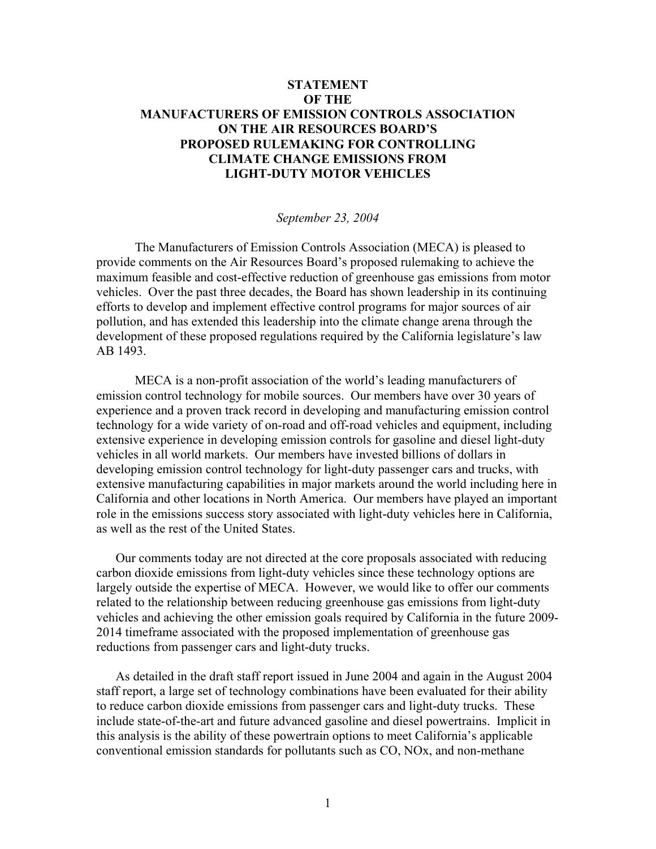## **STATEMENT OF THE MANUFACTURERS OF EMISSION CONTROLS ASSOCIATION ON THE AIR RESOURCES BOARD'S PROPOSED RULEMAKING FOR CONTROLLING CLIMATE CHANGE EMISSIONS FROM LIGHT-DUTY MOTOR VEHICLES**

## *September 23, 2004*

 The Manufacturers of Emission Controls Association (MECA) is pleased to provide comments on the Air Resources Board's proposed rulemaking to achieve the maximum feasible and cost-effective reduction of greenhouse gas emissions from motor vehicles. Over the past three decades, the Board has shown leadership in its continuing efforts to develop and implement effective control programs for major sources of air pollution, and has extended this leadership into the climate change arena through the development of these proposed regulations required by the California legislature's law AB 1493.

MECA is a non-profit association of the world's leading manufacturers of emission control technology for mobile sources. Our members have over 30 years of experience and a proven track record in developing and manufacturing emission control technology for a wide variety of on-road and off-road vehicles and equipment, including extensive experience in developing emission controls for gasoline and diesel light-duty vehicles in all world markets. Our members have invested billions of dollars in developing emission control technology for light-duty passenger cars and trucks, with extensive manufacturing capabilities in major markets around the world including here in California and other locations in North America. Our members have played an important role in the emissions success story associated with light-duty vehicles here in California, as well as the rest of the United States.

 Our comments today are not directed at the core proposals associated with reducing carbon dioxide emissions from light-duty vehicles since these technology options are largely outside the expertise of MECA. However, we would like to offer our comments related to the relationship between reducing greenhouse gas emissions from light-duty vehicles and achieving the other emission goals required by California in the future 2009- 2014 timeframe associated with the proposed implementation of greenhouse gas reductions from passenger cars and light-duty trucks.

 As detailed in the draft staff report issued in June 2004 and again in the August 2004 staff report, a large set of technology combinations have been evaluated for their ability to reduce carbon dioxide emissions from passenger cars and light-duty trucks. These include state-of-the-art and future advanced gasoline and diesel powertrains. Implicit in this analysis is the ability of these powertrain options to meet California's applicable conventional emission standards for pollutants such as CO, NOx, and non-methane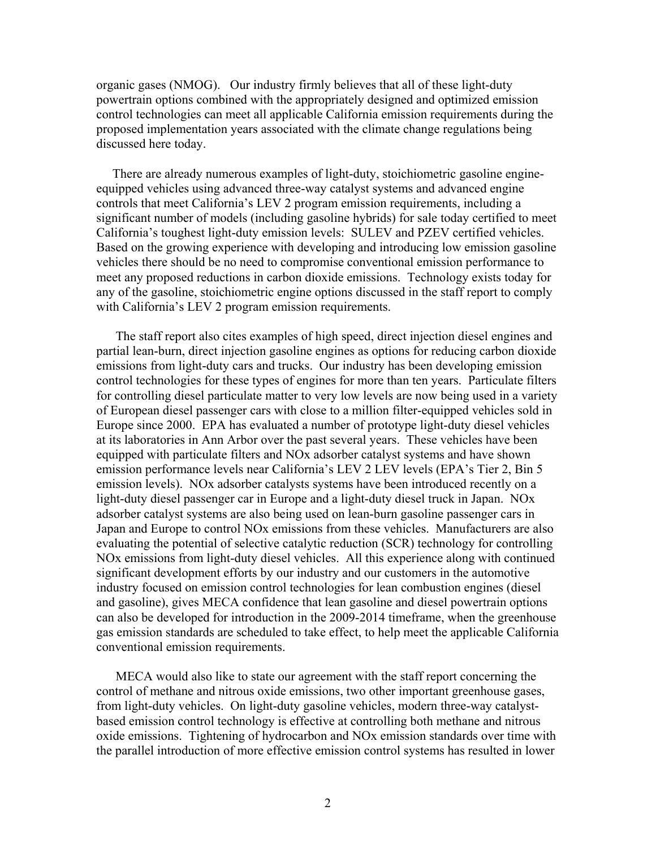organic gases (NMOG). Our industry firmly believes that all of these light-duty powertrain options combined with the appropriately designed and optimized emission control technologies can meet all applicable California emission requirements during the proposed implementation years associated with the climate change regulations being discussed here today.

 There are already numerous examples of light-duty, stoichiometric gasoline engineequipped vehicles using advanced three-way catalyst systems and advanced engine controls that meet California's LEV 2 program emission requirements, including a significant number of models (including gasoline hybrids) for sale today certified to meet California's toughest light-duty emission levels: SULEV and PZEV certified vehicles. Based on the growing experience with developing and introducing low emission gasoline vehicles there should be no need to compromise conventional emission performance to meet any proposed reductions in carbon dioxide emissions. Technology exists today for any of the gasoline, stoichiometric engine options discussed in the staff report to comply with California's LEV 2 program emission requirements.

 The staff report also cites examples of high speed, direct injection diesel engines and partial lean-burn, direct injection gasoline engines as options for reducing carbon dioxide emissions from light-duty cars and trucks. Our industry has been developing emission control technologies for these types of engines for more than ten years. Particulate filters for controlling diesel particulate matter to very low levels are now being used in a variety of European diesel passenger cars with close to a million filter-equipped vehicles sold in Europe since 2000. EPA has evaluated a number of prototype light-duty diesel vehicles at its laboratories in Ann Arbor over the past several years. These vehicles have been equipped with particulate filters and NOx adsorber catalyst systems and have shown emission performance levels near California's LEV 2 LEV levels (EPA's Tier 2, Bin 5 emission levels). NOx adsorber catalysts systems have been introduced recently on a light-duty diesel passenger car in Europe and a light-duty diesel truck in Japan. NOx adsorber catalyst systems are also being used on lean-burn gasoline passenger cars in Japan and Europe to control NOx emissions from these vehicles. Manufacturers are also evaluating the potential of selective catalytic reduction (SCR) technology for controlling NOx emissions from light-duty diesel vehicles. All this experience along with continued significant development efforts by our industry and our customers in the automotive industry focused on emission control technologies for lean combustion engines (diesel and gasoline), gives MECA confidence that lean gasoline and diesel powertrain options can also be developed for introduction in the 2009-2014 timeframe, when the greenhouse gas emission standards are scheduled to take effect, to help meet the applicable California conventional emission requirements.

 MECA would also like to state our agreement with the staff report concerning the control of methane and nitrous oxide emissions, two other important greenhouse gases, from light-duty vehicles. On light-duty gasoline vehicles, modern three-way catalystbased emission control technology is effective at controlling both methane and nitrous oxide emissions. Tightening of hydrocarbon and NOx emission standards over time with the parallel introduction of more effective emission control systems has resulted in lower